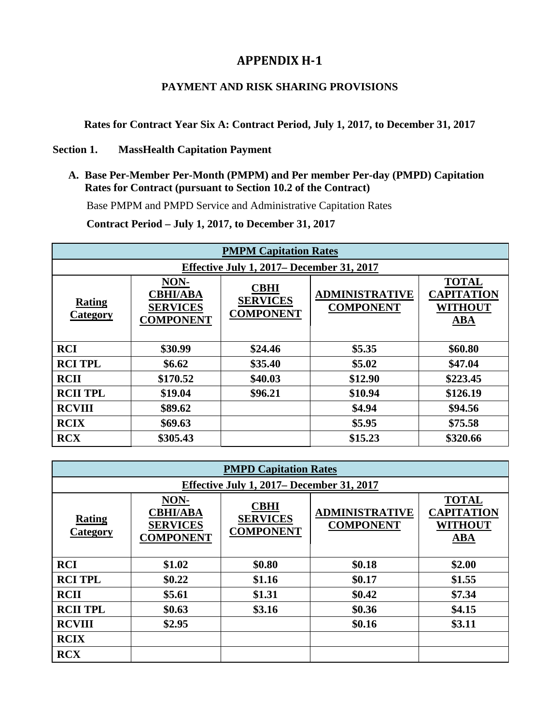## **APPENDIX H-1**

## **PAYMENT AND RISK SHARING PROVISIONS**

**Rates for Contract Year Six A: Contract Period, July 1, 2017, to December 31, 2017** 

## **Section 1. MassHealth Capitation Payment**

**A. Base Per-Member Per-Month (PMPM) and Per member Per-day (PMPD) Capitation Rates for Contract (pursuant to Section 10.2 of the Contract)**

Base PMPM and PMPD Service and Administrative Capitation Rates

**Contract Period – July 1, 2017, to December 31, 2017**

| <b>PMPM Capitation Rates</b>              |                                                                |                                                    |                                           |                                                                   |
|-------------------------------------------|----------------------------------------------------------------|----------------------------------------------------|-------------------------------------------|-------------------------------------------------------------------|
| Effective July 1, 2017– December 31, 2017 |                                                                |                                                    |                                           |                                                                   |
| <b>Rating</b><br><b>Category</b>          | NON-<br><b>CBHI/ABA</b><br><b>SERVICES</b><br><b>COMPONENT</b> | <b>CBHI</b><br><b>SERVICES</b><br><b>COMPONENT</b> | <b>ADMINISTRATIVE</b><br><b>COMPONENT</b> | <b>TOTAL</b><br><b>CAPITATION</b><br><b>WITHOUT</b><br><b>ABA</b> |
| <b>RCI</b>                                | \$30.99                                                        | \$24.46                                            | \$5.35                                    | \$60.80                                                           |
| <b>RCI TPL</b>                            | \$6.62                                                         | \$35.40                                            | \$5.02                                    | \$47.04                                                           |
| <b>RCII</b>                               | \$170.52                                                       | \$40.03                                            | \$12.90                                   | \$223.45                                                          |
| <b>RCII TPL</b>                           | \$19.04                                                        | \$96.21                                            | \$10.94                                   | \$126.19                                                          |
| <b>RCVIII</b>                             | \$89.62                                                        |                                                    | \$4.94                                    | \$94.56                                                           |
| <b>RCIX</b>                               | \$69.63                                                        |                                                    | \$5.95                                    | \$75.58                                                           |
| <b>RCX</b>                                | \$305.43                                                       |                                                    | \$15.23                                   | \$320.66                                                          |

| <b>PMPD Capitation Rates</b>              |                                                                |                                                    |                                           |                                                                             |
|-------------------------------------------|----------------------------------------------------------------|----------------------------------------------------|-------------------------------------------|-----------------------------------------------------------------------------|
| Effective July 1, 2017– December 31, 2017 |                                                                |                                                    |                                           |                                                                             |
| <b>Rating</b><br><b>Category</b>          | NON-<br><b>CBHI/ABA</b><br><b>SERVICES</b><br><b>COMPONENT</b> | <b>CBHI</b><br><b>SERVICES</b><br><b>COMPONENT</b> | <b>ADMINISTRATIVE</b><br><b>COMPONENT</b> | <b>TOTAL</b><br><b>CAPITATION</b><br><b>WITHOUT</b><br>$\overline{\bf ABA}$ |
| <b>RCI</b>                                | \$1.02                                                         | \$0.80                                             | \$0.18                                    | \$2.00                                                                      |
| <b>RCI TPL</b>                            | \$0.22                                                         | \$1.16                                             | \$0.17                                    | \$1.55                                                                      |
| <b>RCII</b>                               | \$5.61                                                         | \$1.31                                             | \$0.42                                    | \$7.34                                                                      |
| <b>RCII TPL</b>                           | \$0.63                                                         | \$3.16                                             | \$0.36                                    | \$4.15                                                                      |
| <b>RCVIII</b>                             | \$2.95                                                         |                                                    | \$0.16                                    | \$3.11                                                                      |
| <b>RCIX</b>                               |                                                                |                                                    |                                           |                                                                             |
| <b>RCX</b>                                |                                                                |                                                    |                                           |                                                                             |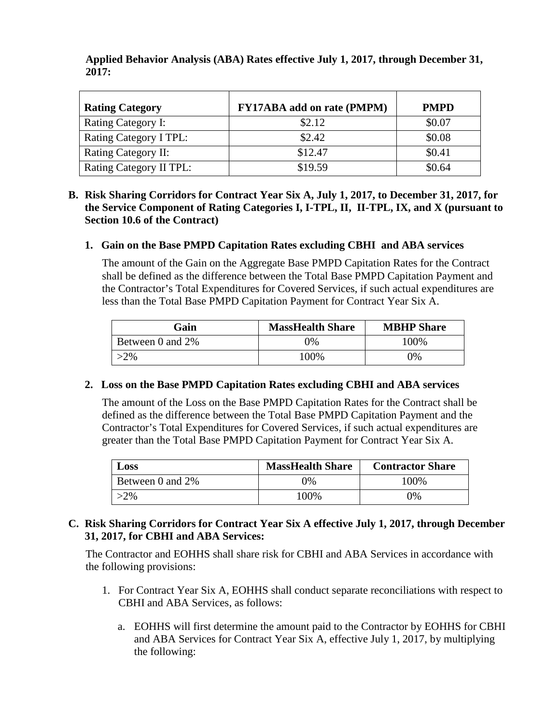| <b>Rating Category</b>  | <b>FY17ABA</b> add on rate (PMPM) | <b>PMPD</b> |
|-------------------------|-----------------------------------|-------------|
| Rating Category I:      | \$2.12                            | \$0.07      |
| Rating Category I TPL:  | \$2.42                            | \$0.08      |
| Rating Category II:     | \$12.47                           | \$0.41      |
| Rating Category II TPL: | \$19.59                           | \$0.64      |

**Applied Behavior Analysis (ABA) Rates effective July 1, 2017, through December 31, 2017:**

#### **B. Risk Sharing Corridors for Contract Year Six A, July 1, 2017, to December 31, 2017, for the Service Component of Rating Categories I, I-TPL, II, II-TPL, IX, and X (pursuant to Section 10.6 of the Contract)**

#### **1. Gain on the Base PMPD Capitation Rates excluding CBHI and ABA services**

The amount of the Gain on the Aggregate Base PMPD Capitation Rates for the Contract shall be defined as the difference between the Total Base PMPD Capitation Payment and the Contractor's Total Expenditures for Covered Services, if such actual expenditures are less than the Total Base PMPD Capitation Payment for Contract Year Six A.

| Gain             | <b>MassHealth Share</b> | <b>MBHP</b> Share |
|------------------|-------------------------|-------------------|
| Between 0 and 2% | )%                      | 100\%             |
| 2%               | 100%                    | 9%                |

## **2. Loss on the Base PMPD Capitation Rates excluding CBHI and ABA services**

The amount of the Loss on the Base PMPD Capitation Rates for the Contract shall be defined as the difference between the Total Base PMPD Capitation Payment and the Contractor's Total Expenditures for Covered Services, if such actual expenditures are greater than the Total Base PMPD Capitation Payment for Contract Year Six A.

| Loss             | <b>MassHealth Share</b> | <b>Contractor Share</b> |
|------------------|-------------------------|-------------------------|
| Between 0 and 2% | 0%                      | 100%                    |
| $>2\%$           | 100\%                   | 0%                      |

## **C. Risk Sharing Corridors for Contract Year Six A effective July 1, 2017, through December 31, 2017, for CBHI and ABA Services:**

The Contractor and EOHHS shall share risk for CBHI and ABA Services in accordance with the following provisions:

- 1. For Contract Year Six A, EOHHS shall conduct separate reconciliations with respect to CBHI and ABA Services, as follows:
	- a. EOHHS will first determine the amount paid to the Contractor by EOHHS for CBHI and ABA Services for Contract Year Six A, effective July 1, 2017, by multiplying the following: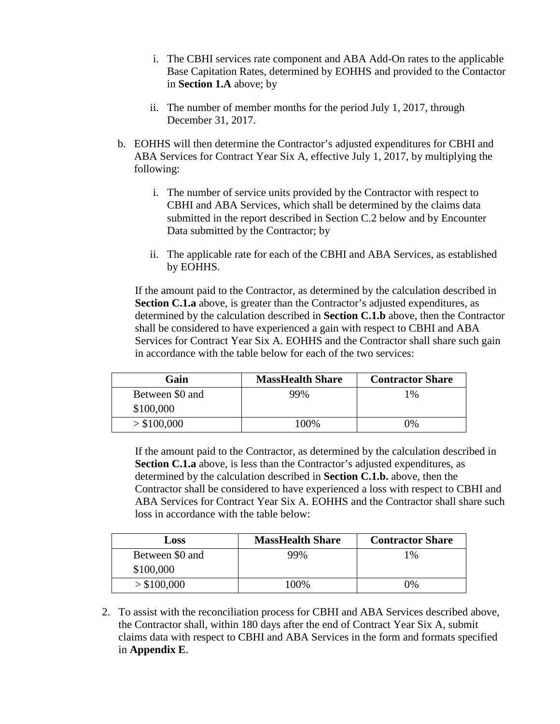- i. The CBHI services rate component and ABA Add-On rates to the applicable Base Capitation Rates, determined by EOHHS and provided to the Contactor in **Section 1.A** above; by
- ii. The number of member months for the period July 1, 2017, through December 31, 2017.
- b. EOHHS will then determine the Contractor's adjusted expenditures for CBHI and ABA Services for Contract Year Six A, effective July 1, 2017, by multiplying the following:
	- i. The number of service units provided by the Contractor with respect to CBHI and ABA Services, which shall be determined by the claims data submitted in the report described in Section C.2 below and by Encounter Data submitted by the Contractor; by
	- ii. The applicable rate for each of the CBHI and ABA Services, as established by EOHHS.

If the amount paid to the Contractor, as determined by the calculation described in **Section C.1.a** above, is greater than the Contractor's adjusted expenditures, as determined by the calculation described in **Section C.1.b** above, then the Contractor shall be considered to have experienced a gain with respect to CBHI and ABA Services for Contract Year Six A. EOHHS and the Contractor shall share such gain in accordance with the table below for each of the two services:

| Gain            | <b>MassHealth Share</b> | <b>Contractor Share</b> |
|-----------------|-------------------------|-------------------------|
| Between \$0 and | 99%                     | 1%                      |
| \$100,000       |                         |                         |
| > \$100,000     | 100%                    | 7%                      |

If the amount paid to the Contractor, as determined by the calculation described in **Section C.1.a** above, is less than the Contractor's adjusted expenditures, as determined by the calculation described in **Section C.1.b.** above, then the Contractor shall be considered to have experienced a loss with respect to CBHI and ABA Services for Contract Year Six A. EOHHS and the Contractor shall share such loss in accordance with the table below:

| Loss            | <b>MassHealth Share</b> | <b>Contractor Share</b> |
|-----------------|-------------------------|-------------------------|
| Between \$0 and | 99%                     | 1%                      |
| \$100,000       |                         |                         |
| > \$100,000     | 100\%                   | 0%                      |

2. To assist with the reconciliation process for CBHI and ABA Services described above, the Contractor shall, within 180 days after the end of Contract Year Six A, submit claims data with respect to CBHI and ABA Services in the form and formats specified in **Appendix E**.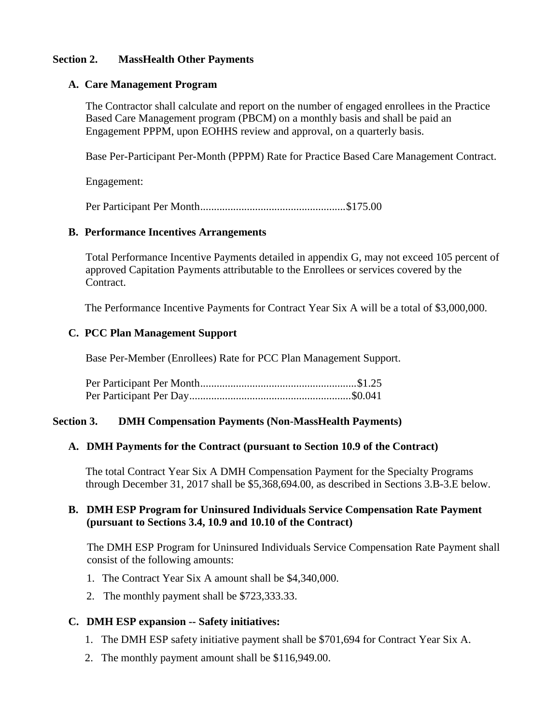#### **Section 2. MassHealth Other Payments**

#### **A. Care Management Program**

The Contractor shall calculate and report on the number of engaged enrollees in the Practice Based Care Management program (PBCM) on a monthly basis and shall be paid an Engagement PPPM, upon EOHHS review and approval, on a quarterly basis.

Base Per-Participant Per-Month (PPPM) Rate for Practice Based Care Management Contract.

Engagement:

Per Participant Per Month.....................................................\$175.00

#### **B. Performance Incentives Arrangements**

Total Performance Incentive Payments detailed in appendix G, may not exceed 105 percent of approved Capitation Payments attributable to the Enrollees or services covered by the Contract.

The Performance Incentive Payments for Contract Year Six A will be a total of \$3,000,000.

## **C. PCC Plan Management Support**

Base Per-Member (Enrollees) Rate for PCC Plan Management Support.

## **Section 3. DMH Compensation Payments (Non-MassHealth Payments)**

# **A. DMH Payments for the Contract (pursuant to Section 10.9 of the Contract)**

The total Contract Year Six A DMH Compensation Payment for the Specialty Programs through December 31, 2017 shall be \$5,368,694.00, as described in Sections 3.B-3.E below.

## **B. DMH ESP Program for Uninsured Individuals Service Compensation Rate Payment (pursuant to Sections 3.4, 10.9 and 10.10 of the Contract)**

The DMH ESP Program for Uninsured Individuals Service Compensation Rate Payment shall consist of the following amounts:

- 1. The Contract Year Six A amount shall be \$4,340,000.
- 2. The monthly payment shall be \$723,333.33.

# **C. DMH ESP expansion -- Safety initiatives:**

- 1. The DMH ESP safety initiative payment shall be \$701,694 for Contract Year Six A.
- 2. The monthly payment amount shall be \$116,949.00.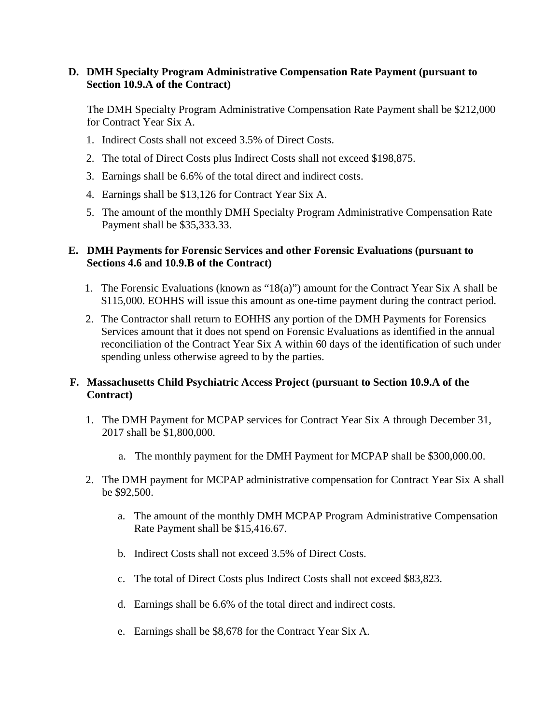#### **D. DMH Specialty Program Administrative Compensation Rate Payment (pursuant to Section 10.9.A of the Contract)**

The DMH Specialty Program Administrative Compensation Rate Payment shall be \$212,000 for Contract Year Six A.

- 1. Indirect Costs shall not exceed 3.5% of Direct Costs.
- 2. The total of Direct Costs plus Indirect Costs shall not exceed \$198,875.
- 3. Earnings shall be 6.6% of the total direct and indirect costs.
- 4. Earnings shall be \$13,126 for Contract Year Six A.
- 5. The amount of the monthly DMH Specialty Program Administrative Compensation Rate Payment shall be \$35,333.33.

### **E. DMH Payments for Forensic Services and other Forensic Evaluations (pursuant to Sections 4.6 and 10.9.B of the Contract)**

- 1. The Forensic Evaluations (known as "18(a)") amount for the Contract Year Six A shall be \$115,000. EOHHS will issue this amount as one-time payment during the contract period.
- 2. The Contractor shall return to EOHHS any portion of the DMH Payments for Forensics Services amount that it does not spend on Forensic Evaluations as identified in the annual reconciliation of the Contract Year Six A within 60 days of the identification of such under spending unless otherwise agreed to by the parties.

## **F. Massachusetts Child Psychiatric Access Project (pursuant to Section 10.9.A of the Contract)**

- 1. The DMH Payment for MCPAP services for Contract Year Six A through December 31, 2017 shall be \$1,800,000.
	- a. The monthly payment for the DMH Payment for MCPAP shall be \$300,000.00.
- 2. The DMH payment for MCPAP administrative compensation for Contract Year Six A shall be \$92,500.
	- a. The amount of the monthly DMH MCPAP Program Administrative Compensation Rate Payment shall be \$15,416.67.
	- b. Indirect Costs shall not exceed 3.5% of Direct Costs.
	- c. The total of Direct Costs plus Indirect Costs shall not exceed \$83,823.
	- d. Earnings shall be 6.6% of the total direct and indirect costs.
	- e. Earnings shall be \$8,678 for the Contract Year Six A.